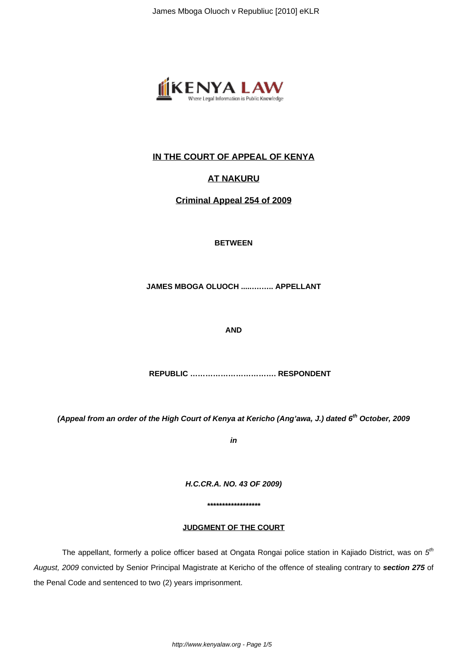

# **IN THE COURT OF APPEAL OF KENYA**

## **AT NAKURU**

**Criminal Appeal 254 of 2009**

**BETWEEN**

**JAMES MBOGA OLUOCH .....….….. APPELLANT**

**AND**

 **REPUBLIC ……………………………. RESPONDENT**

**(Appeal from an order of the High Court of Kenya at Kericho (Ang'awa, J.) dated 6th October, 2009**

**in**

**H.C.CR.A. NO. 43 OF 2009)**

**\*\*\*\*\*\*\*\*\*\*\*\*\*\*\*\*\*\***

### **JUDGMENT OF THE COURT**

The appellant, formerly a police officer based at Ongata Rongai police station in Kajiado District, was on  $5^{\text{th}}$ August, 2009 convicted by Senior Principal Magistrate at Kericho of the offence of stealing contrary to **section 275** of the Penal Code and sentenced to two (2) years imprisonment.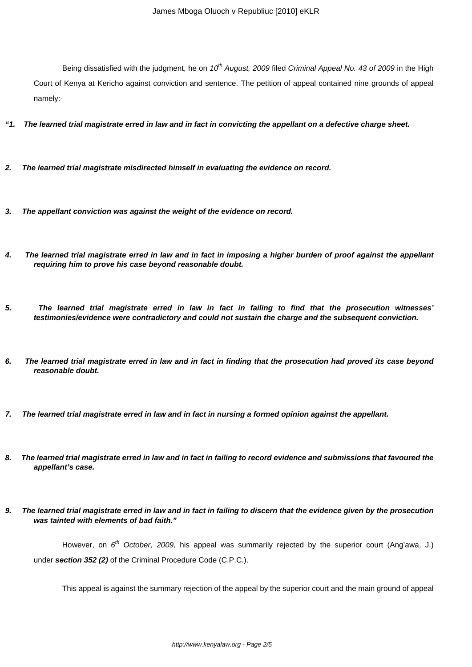Being dissatisfied with the judgment, he on 10<sup>th</sup> August, 2009 filed Criminal Appeal No. 43 of 2009 in the High Court of Kenya at Kericho against conviction and sentence. The petition of appeal contained nine grounds of appeal namely:-

- **"1. The learned trial magistrate erred in law and in fact in convicting the appellant on a defective charge sheet.**
- **2. The learned trial magistrate misdirected himself in evaluating the evidence on record.**
- **3. The appellant conviction was against the weight of the evidence on record.**
- **4. The learned trial magistrate erred in law and in fact in imposing a higher burden of proof against the appellant requiring him to prove his case beyond reasonable doubt.**
- **5. The learned trial magistrate erred in law in fact in failing to find that the prosecution witnesses' testimonies/evidence were contradictory and could not sustain the charge and the subsequent conviction.**
- **6. The learned trial magistrate erred in law and in fact in finding that the prosecution had proved its case beyond reasonable doubt.**
- **7. The learned trial magistrate erred in law and in fact in nursing a formed opinion against the appellant.**
- **8. The learned trial magistrate erred in law and in fact in failing to record evidence and submissions that favoured the appellant's case.**
- **9. The learned trial magistrate erred in law and in fact in failing to discern that the evidence given by the prosecution was tainted with elements of bad faith."**

However, on 6<sup>th</sup> October, 2009, his appeal was summarily rejected by the superior court (Ang'awa, J.) under **section 352 (2)** of the Criminal Procedure Code (C.P.C.).

This appeal is against the summary rejection of the appeal by the superior court and the main ground of appeal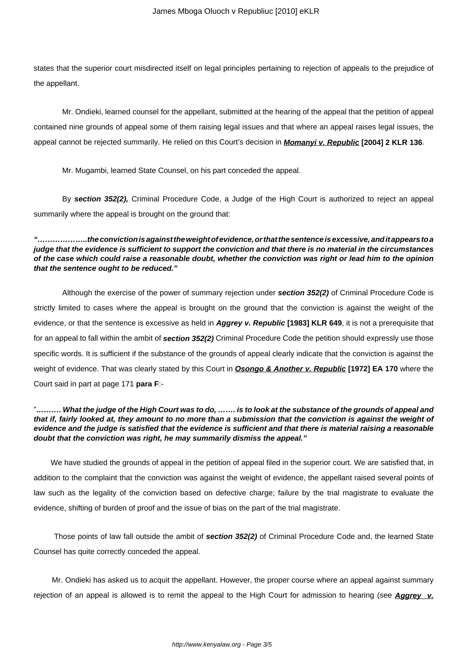states that the superior court misdirected itself on legal principles pertaining to rejection of appeals to the prejudice of the appellant.

Mr. Ondieki, learned counsel for the appellant, submitted at the hearing of the appeal that the petition of appeal contained nine grounds of appeal some of them raising legal issues and that where an appeal raises legal issues, the appeal cannot be rejected summarily. He relied on this Court's decision in **Momanyi v. Republic [2004] 2 KLR 136**.

Mr. Mugambi, learned State Counsel, on his part conceded the appeal.

By **section 352(2),** Criminal Procedure Code, a Judge of the High Court is authorized to reject an appeal summarily where the appeal is brought on the ground that:

**"………………..the conviction is against the weight of evidence, or that the sentence is excessive, and it appears to a judge that the evidence is sufficient to support the conviction and that there is no material in the circumstances of the case which could raise a reasonable doubt, whether the conviction was right or lead him to the opinion that the sentence ought to be reduced."**

Although the exercise of the power of summary rejection under **section 352(2)** of Criminal Procedure Code is strictly limited to cases where the appeal is brought on the ground that the conviction is against the weight of the evidence, or that the sentence is excessive as held in **Aggrey v. Republic [1983] KLR 649**, it is not a prerequisite that for an appeal to fall within the ambit of **section 352(2)** Criminal Procedure Code the petition should expressly use those specific words. It is sufficient if the substance of the grounds of appeal clearly indicate that the conviction is against the weight of evidence. That was clearly stated by this Court in **Osongo & Another v. Republic [1972] EA 170** where the Court said in part at page 171 **para F**:-

#### "**………. What the judge of the High Court was to do, ……. is to look at the substance of the grounds of appeal and that if, fairly looked at, they amount to no more than a submission that the conviction is against the weight of evidence and the judge is satisfied that the evidence is sufficient and that there is material raising a reasonable doubt that the conviction was right, he may summarily dismiss the appeal."**

We have studied the grounds of appeal in the petition of appeal filed in the superior court. We are satisfied that, in addition to the complaint that the conviction was against the weight of evidence, the appellant raised several points of law such as the legality of the conviction based on defective charge; failure by the trial magistrate to evaluate the evidence, shifting of burden of proof and the issue of bias on the part of the trial magistrate.

 Those points of law fall outside the ambit of **section 352(2)** of Criminal Procedure Code and, the learned State Counsel has quite correctly conceded the appeal.

 Mr. Ondieki has asked us to acquit the appellant. However, the proper course where an appeal against summary rejection of an appeal is allowed is to remit the appeal to the High Court for admission to hearing (see **Aggrey v.**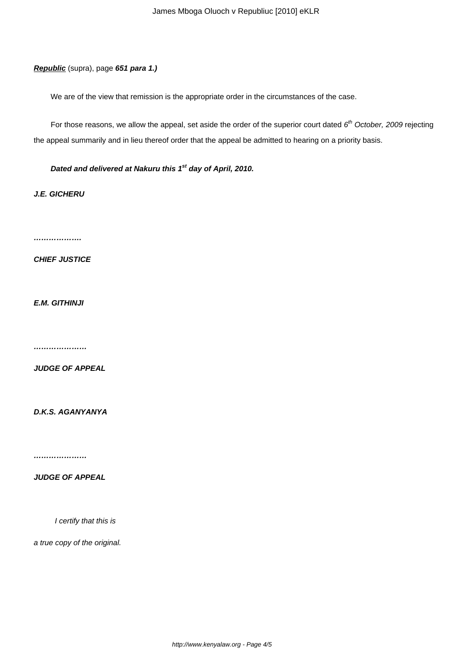**Republic** (supra), page **651 para 1.)**

We are of the view that remission is the appropriate order in the circumstances of the case.

For those reasons, we allow the appeal, set aside the order of the superior court dated  $6<sup>th</sup>$  October, 2009 rejecting the appeal summarily and in lieu thereof order that the appeal be admitted to hearing on a priority basis.

**Dated and delivered at Nakuru this 1st day of April, 2010.**

**J.E. GICHERU**

**……………….**

**CHIEF JUSTICE**

**E.M. GITHINJI**

**…………………**

**JUDGE OF APPEAL**

**D.K.S. AGANYANYA**

**…………………**

**JUDGE OF APPEAL**

I certify that this is

a true copy of the original.